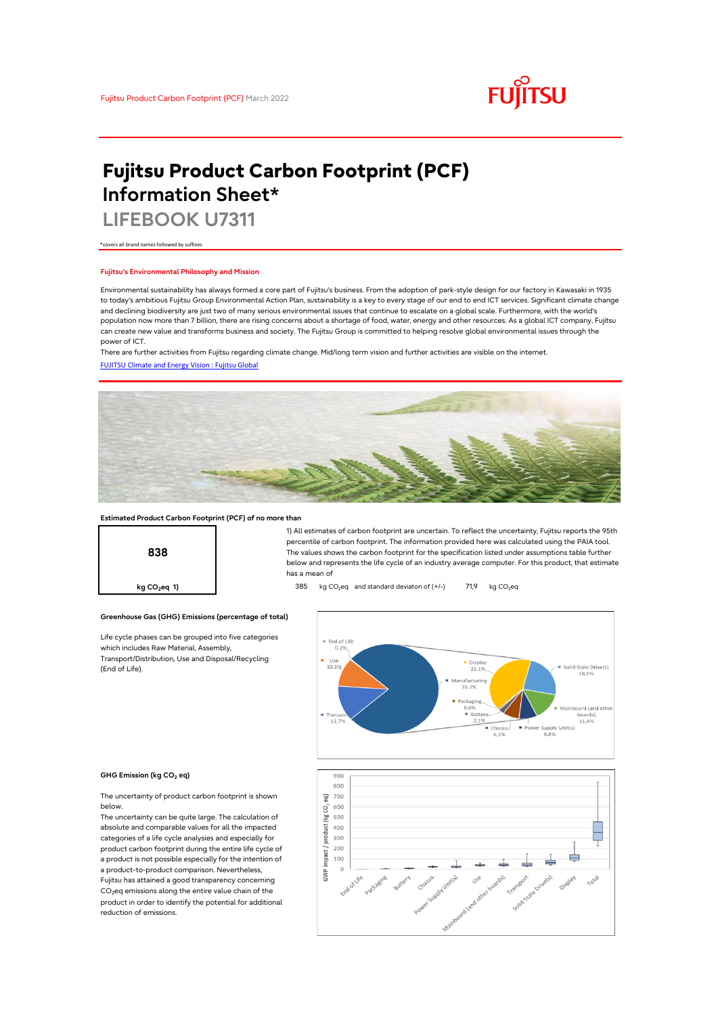

# **Fujitsu Product Carbon Footprint (PCF) Information Sheet\***

**LIFEBOOK U7311**

\*covers all brand names followed by suffixes

## **Fujitsu's Environmental Philosophy and Mission**

Environmental sustainability has always formed a core part of Fujitsu's business. From the adoption of park-style design for our factory in Kawasaki in 1935 to today's ambitious Fujitsu Group Environmental Action Plan, sustainability is a key to every stage of our end to end ICT services. Significant climate change and declining biodiversity are just two of many serious environmental issues that continue to escalate on a global scale. Furthermore, with the world's population now more than 7 billion, there are rising concerns about a shortage of food, water, energy and other resources. As a global ICT company, Fujitsu can create new value and transforms business and society. The Fujitsu Group is committed to helping resolve global environmental issues through the power of ICT.

[FUJITSU Climate and Energy Vision : Fujitsu Global](https://www.fujitsu.com/global/about/environment/climate-energy-vision/) There are further activities from Fujitsu regarding climate change. Mid/long term vision and further activities are visible on the internet.



## **Estimated Product Carbon Footprint (PCF) of no more than**



1) All estimates of carbon footprint are uncertain. To reflect the uncertainty, Fujitsu reports the 95th percentile of carbon footprint. The information provided here was calculated using the PAIA tool. The values shows the carbon footprint for the specification listed under assumptions table further below and represents the life cycle of an industry average computer. For this product, that estimate has a mean of

**kg CO<sub>2</sub>eq 1) a 2** 385 kg CO<sub>2</sub>eq and standard deviaton of (+/-) 71,9 kg CO<sub>2</sub>eq



#### **GHG Emission (kg CO2 eq)**

(End of Life).

The uncertainty of product carbon footprint is shown below.

Life cycle phases can be grouped into five categories

**Greenhouse Gas (GHG) Emissions (percentage of total)**

which includes Raw Material, Assembly, Transport/Distribution, Use and Disposal/Recycling

The uncertainty can be quite large. The calculation of absolute and comparable values for all the impacted categories of a life cycle analysies and especially for product carbon footprint during the entire life cycle of a product is not possible especially for the intention of a product-to-product comparison. Nevertheless, Fujitsu has attained a good transparency concerning CO<sub>2</sub>eq emissions along the entire value chain of the product in order to identify the potential for additional reduction of emissions.